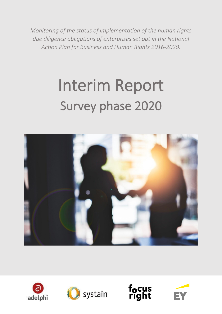*Monitoring of the status of implementation of the human rights due diligence obligations of enterprises set out in the National Action Plan for Business and Human Rights 2016-2020.*

# Interim Report Survey phase 2020









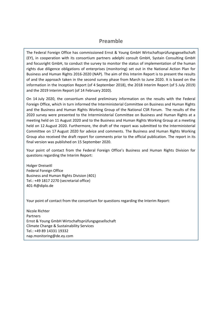### **Preamble**

The Federal Foreign Office has commissioned Ernst & Young GmbH Wirtschaftsprüfungsgesellschaft (EY), in cooperation with its consortium partners adelphi consult GmbH, Systain Consulting GmbH and focusright GmbH, to conduct the survey to monitor the status of implementation of the human rights due diligence obligations of enterprises (monitoring) set out in the National Action Plan for Business and Human Rights 2016-2020 (NAP). The aim of this Interim Report is to present the results of and the approach taken in the second survey phase from March to June 2020. It is based on the information in the Inception Report (of 4 September 2018), the 2018 Interim Report (of 5 July 2019) and the 2019 Interim Report (of 14 February 2020).

On 14 July 2020, the consortium shared preliminary information on the results with the Federal Foreign Office, which in turn informed the Interministerial Committee on Business and Human Rights and the Business and Human Rights Working Group of the National CSR Forum. The results of the 2020 survey were presented to the Interministerial Committee on Business and Human Rights at a meeting held on 11 August 2020 and to the Business and Human Rights Working Group at a meeting held on 12 August 2020. Furthermore, the draft of the report was submitted to the Interministerial Committee on 17 August 2020 for advice and comments. The Business and Human Rights Working Group also received the draft report for comments prior to the official publication. The report in its final version was published on 15 September 2020.

Your point of contact from the Federal Foreign Office's Business and Human Rights Division for questions regarding the Interim Report:

Holger Dreiseitl Federal Foreign Office Business and Human Rights Division (401) Tel.: +49 1817 2270 (secretarial office) 401-R@diplo.de

Your point of contact from the consortium for questions regarding the Interim Report:

Nicole Richter Partners Ernst & Young GmbH Wirtschaftsprüfungsgesellschaft Climate Change & Sustainability Services Tel.: +49 89 14331 19332 nap.monitoring@de.ey.com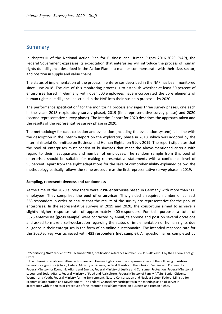## Summary

In chapter III of the National Action Plan for Business and Human Rights 2016-2020 (NAP), the Federal Government expresses its expectation that enterprises will introduce the process of human rights due diligence described in the Action Plan in a manner commensurate with their size, sector, and position in supply and value chains.

The status of implementation of the process in enterprises described in the NAP has been monitored since June 2018. The aim of this monitoring process is to establish whether at least 50 percent of enterprises based in Germany with over 500 employees have incorporated the core elements of human rights due diligence described in the NAP into their business processes by 2020.

The performance specification<sup>1</sup> for the monitoring process envisages three survey phases, one each in the years 2018 (exploratory survey phase), 2019 (first representative survey phase) and 2020 (second representative survey phase). The Interim Report for 2020 describes the approach taken and the results of the representative survey phase in 2020.

The methodology for data collection and evaluation (including the evaluation system) is in line with the description in the Interim Report on the exploratory phase in 2018, which was adopted by the Interministerial Committee on Business and Human Rights<sup>2</sup> on 5 July 2019. The report stipulates that the pool of enterprises must consist of businesses that meet the above-mentioned criteria with regard to their headquarters and number of employees. The random sample from this pool of enterprises should be suitable for making representative statements with a confidence level of 95 percent. Apart from the slight adaptations for the sake of comprehensibility explained below, the methodology basically follows the same procedure as the first representative survey phase in 2019.

#### **Sampling, representativeness and randomness**

At the time of the 2020 survey there were **7396 enterprises** based in Germany with more than 500 employees. They comprised the **pool of enterprises**. This yielded a required number of at least 363 responders in order to ensure that the results of the survey are representative for the pool of enterprises. In the representative surveys in 2019 and 2020, the consortium aimed to achieve a slightly higher response rate of approximately 400 responders. For this purpose, a total of 3325 enterprises (**gross sample**) were contacted by email, telephone and post on several occasions and asked to make a self-declaration regarding the status of implementation of human rights due diligence in their enterprises in the form of an online questionnaire. The intended response rate for the 2020 survey was achieved with **455 responders (net sample)**. All questionnaires completed by

<sup>1</sup> "Monitoring NAP" tender of 29 December 2017, notification reference number: VV-118-2017-0201 by the Federal Foreign Office.

<sup>2.</sup> The Interministerial Committee on Business and Human Rights comprises representatives of the following ministries: Federal Foreign Office (Chair), Federal Ministry of Finance, Federal Ministry of the Interior, Building and Community, Federal Ministry for Economic Affairs and Energy, Federal Ministry of Justice and Consumer Protection, Federal Ministry of Labour and Social Affairs, Federal Ministry of Food and Agriculture, Federal Ministry of Family Affairs, Senior Citizens, Women and Youth, Federal Ministry for the Environment, Nature Conservation and Nuclear Safety, Federal Ministry for Economic Cooperation and Development. The Federal Chancellery participates in the meetings as an observer in accordance with the rules of procedure of the Interministerial Committee on Business and Human Rights.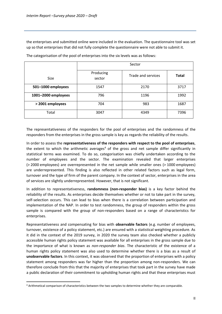the enterprises and submitted online were included in the evaluation. The questionnaire tool was set up so that enterprises that did not fully complete the questionnaire were not able to submit it.

|                     | Sector              |                    |              |
|---------------------|---------------------|--------------------|--------------|
| <b>Size</b>         | Producing<br>sector | Trade and services | <b>Total</b> |
| 501-1000 employees  | 1547                | 2170               | 3717         |
| 1001-2000 employees | 796                 | 1196               | 1992         |
| > 2001 employees    | 704                 | 983                | 1687         |
| Total               | 3047                | 4349               | 7396         |

The categorisation of the pool of enterprises into the six levels was as follows:

The representativeness of the responders for the pool of enterprises and the randomness of the responders from the enterprises in the gross sample is key as regards the reliability of the results.

In order to assess the **representativeness of the responders with respect to the pool of enterprises**, the extent to which the arithmetic averages<sup>4</sup> of the gross and net sample differ significantly in statistical terms was examined. To do so, categorisation was chiefly undertaken according to the number of employees and the sector. The examination revealed that larger enterprises (> 2000 employees) are overrepresented in the net sample while smaller ones (> 1000 employees) are underrepresented. This finding is also reflected in other related factors such as legal form, turnover and the type of firm of the parent company. In the context of sector, enterprises in the area of services are slightly underrepresented. However, that is not significant.

In addition to representativeness, **randomness (non-responder bias)** is a key factor behind the reliability of the results. As enterprises decide themselves whether or not to take part in the survey, self-selection occurs. This can lead to bias when there is a correlation between participation and implementation of the NAP. In order to test randomness, the group of responders within the gross sample is compared with the group of non-responders based on a range of characteristics for enterprises.

Representativeness and compensating for bias with **observable factors** (e.g. number of employees, turnover, existence of a policy statement, etc.) are ensured with a statistical weighting procedure. As it did in the context of the 2019 survey, in 2020 the survey team also checked whether a publicly accessible human rights policy statement was available for all enterprises in the gross sample due to the importance of what is known as *non-responder bias*. The characteristic of the existence of a human rights policy statement was also used to determine whether there is a bias as a result of **unobservable factors**. In this context, it was observed that the proportion of enterprises with a policy statement among responders was far higher than the proportion among non-responders. We can therefore conclude from this that the majority of enterprises that took part in the survey have made a public declaration of their commitment to upholding human rights and that these enterprises must

<sup>4</sup> Arithmetical comparison of characteristics between the two samples to determine whether they are comparable.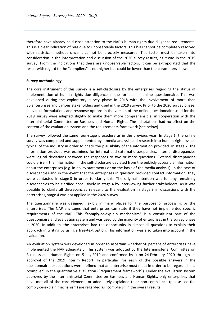therefore have already paid close attention to the NAP's human rights due diligence requirements. This is a clear indication of bias due to unobservable factors. This bias cannot be completely resolved with statistical methods since it cannot be precisely measured. This factor must be taken into consideration in the interpretation and discussion of the 2020 survey results, as it was in the 2019 survey. From the indications that there are unobservable factors, it can be extrapolated that the result with regard to the "compliers" is not higher but could be lower than the parameters show.

#### **Survey methodology**

The core instrument of this survey is a self-disclosure by the enterprises regarding the status of implementation of human rights due diligence in the form of an online questionnaire. This was developed during the exploratory survey phase in 2018 with the involvement of more than 30 enterprises and various stakeholders and used in the 2019 survey. Prior to the 2020 survey phase, individual formulations and response options in the version of the online questionnaire used for the 2019 survey were adapted slightly to make them more comprehensible, in cooperation with the Interministerial Committee on Business and Human Rights. The adaptations had no effect on the content of the evaluation system and the requirements framework (see below).

The survey followed the same four-stage procedure as in the previous year: In stage 1, the online survey was completed and supplemented by a media analysis and research into human rights issues typical of the industry in order to check the plausibility of the information provided. In stage 2, the information provided was examined for internal and external discrepancies. Internal discrepancies were logical deviations between the responses to two or more questions. External discrepancies could arise if the information in the self-disclosure deviated from the publicly accessible information about the enterprises (e.g. in policy statements or on the basis of the media analysis). In the case of discrepancies and in the event that the enterprises in question provided contact information, they were contacted in stage 3 in order to clarify this. The original intention was for any remaining discrepancies to be clarified conclusively in stage 4 by interviewing further stakeholders. As it was possible to clarify all discrepancies relevant to the evaluation in stage 3 in discussions with the enterprises, stage 4 was not applied in the 2020 survey.

The questionnaire was designed flexibly in many places for the purpose of processing by the enterprises. The NAP envisages that enterprises can state if they have not implemented specific requirements of the NAP. This **"comply-or-explain mechanism"** is a constituent part of the questionnaire and evaluation system and was used by the majority of enterprises in the survey phase in 2020. In addition, the enterprises had the opportunity in almost all questions to explain their approach in writing by using a free-text option. This information was also taken into account in the evaluation.

An evaluation system was developed in order to ascertain whether 50 percent of enterprises have implemented the NAP adequately. This system was adopted by the Interministerial Committee on Business and Human Rights on 5 July 2019 and confirmed by it on 24 February 2020 through its approval of the 2019 Interim Report. In particular, for each of the possible answers in the questionnaire, expectations were defined that an enterprise must meet in order to be regarded as a "complier" in the quantitative evaluation ("requirement framework"). Under the evaluation system approved by the Interministerial Committee on Business and Human Rights, only enterprises that have met all of the core elements or adequately explained their non-compliance (please see the comply-or-explain mechanism) are regarded as "compliers" in the overall results.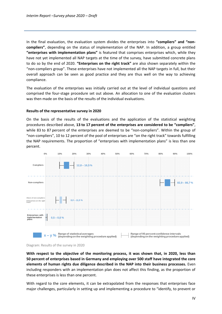In the final evaluation, the evaluation system divides the enterprises into **"compliers" and "noncompliers"**, depending on the status of implementation of the NAP. In addition, a group entitled **"enterprises with implementation plans"** is featured that comprises enterprises which, while they have not yet implemented all NAP targets at the time of the survey, have submitted concrete plans to do so by the end of 2020. **"Enterprises on the right track"** are also shown separately within the "non-compliers group". These enterprises have not implemented all the NAP targets in full, but their overall approach can be seen as good practice and they are thus well on the way to achieving compliance.

The evaluation of the enterprises was initially carried out at the level of individual questions and comprised the four-stage procedure set out above. An allocation to one of the evaluation clusters was then made on the basis of the results of the individual evaluations.

#### **Results of the representative survey in 2020**

On the basis of the results of the evaluations and the application of the statistical weighting procedures described above, **13 to 17 percent of the enterprises are considered to be "compliers"**, while 83 to 87 percent of the enterprises are deemed to be "non-compliers". Within the group of "non-compliers", 10 to 12 percent of the pool of enterprises are "on the right track" towards fulfilling the NAP requirements. The proportion of "enterprises with implementation plans" is less than one percent.





**With respect to the objective of the monitoring process, it was shown that, in 2020, less than 50 percent of enterprises based in Germany and employing over 500 staff have integrated the core elements of human rights due diligence described in the NAP into their business processes.** Even including responders with an implementation plan does not affect this finding, as the proportion of these enterprises is less than one percent.

With regard to the core elements, it can be extrapolated from the responses that enterprises face